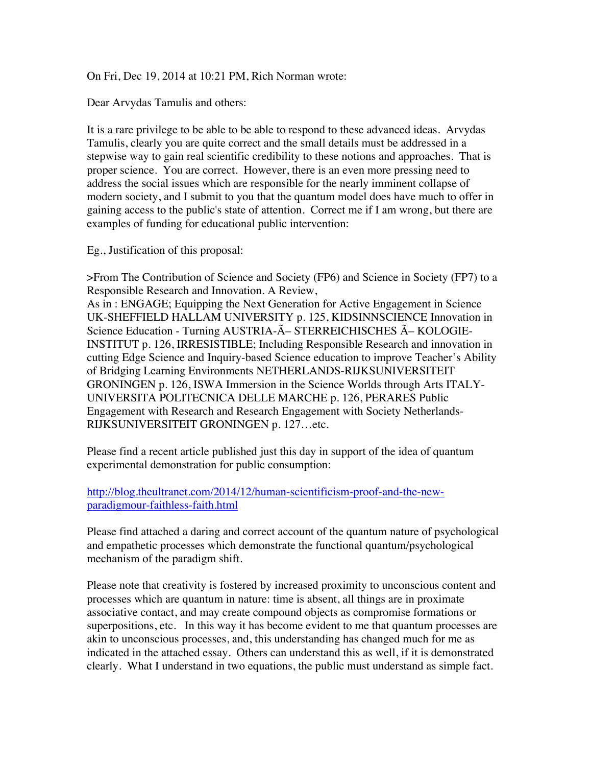On Fri, Dec 19, 2014 at 10:21 PM, Rich Norman wrote:

Dear Arvydas Tamulis and others:

It is a rare privilege to be able to be able to respond to these advanced ideas. Arvydas Tamulis, clearly you are quite correct and the small details must be addressed in a stepwise way to gain real scientific credibility to these notions and approaches. That is proper science. You are correct. However, there is an even more pressing need to address the social issues which are responsible for the nearly imminent collapse of modern society, and I submit to you that the quantum model does have much to offer in gaining access to the public's state of attention. Correct me if I am wrong, but there are examples of funding for educational public intervention:

Eg., Justification of this proposal:

>From The Contribution of Science and Society (FP6) and Science in Society (FP7) to a Responsible Research and Innovation. A Review, As in : ENGAGE; Equipping the Next Generation for Active Engagement in Science UK-SHEFFIELD HALLAM UNIVERSITY p. 125, KIDSINNSCIENCE Innovation in Science Education - Turning AUSTRIA-Ö STERREICHISCHES Ö KOLOGIE-INSTITUT p. 126, IRRESISTIBLE; Including Responsible Research and innovation in cutting Edge Science and Inquiry-based Science education to improve Teacher's Ability of Bridging Learning Environments NETHERLANDS-RIJKSUNIVERSITEIT GRONINGEN p. 126, ISWA Immersion in the Science Worlds through Arts ITALY-

UNIVERSITA POLITECNICA DELLE MARCHE p. 126, PERARES Public Engagement with Research and Research Engagement with Society Netherlands-RIJKSUNIVERSITEIT GRONINGEN p. 127…etc.

Please find a recent article published just this day in support of the idea of quantum experimental demonstration for public consumption:

http://blog.theultranet.com/2014/12/human-scientificism-proof-and-the-newparadigmour-faithless-faith.html

Please find attached a daring and correct account of the quantum nature of psychological and empathetic processes which demonstrate the functional quantum/psychological mechanism of the paradigm shift.

Please note that creativity is fostered by increased proximity to unconscious content and processes which are quantum in nature: time is absent, all things are in proximate associative contact, and may create compound objects as compromise formations or superpositions, etc. In this way it has become evident to me that quantum processes are akin to unconscious processes, and, this understanding has changed much for me as indicated in the attached essay. Others can understand this as well, if it is demonstrated clearly. What I understand in two equations, the public must understand as simple fact.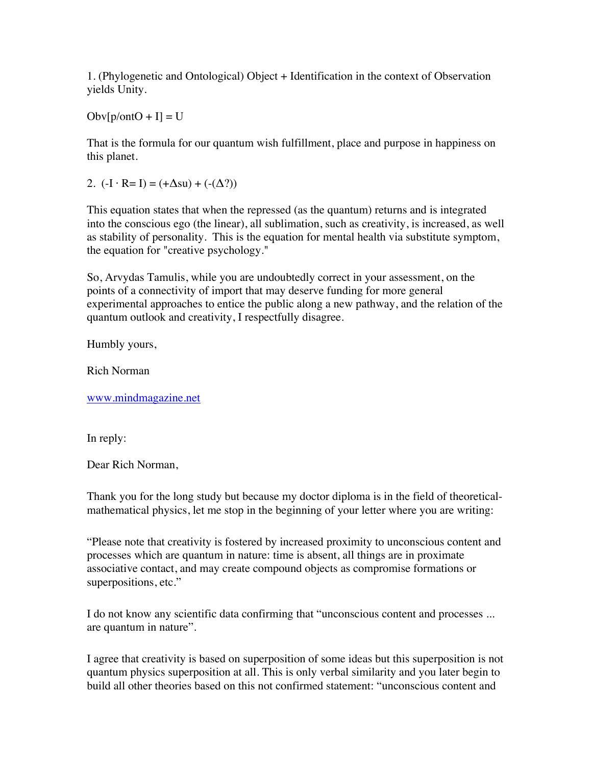1. (Phylogenetic and Ontological) Object + Identification in the context of Observation yields Unity.

 $Obv[p/ontO + I] = U$ 

That is the formula for our quantum wish fulfillment, place and purpose in happiness on this planet.

2.  $(-I \cdot R= I) = (+\Delta su) + (-(\Delta ?))$ 

This equation states that when the repressed (as the quantum) returns and is integrated into the conscious ego (the linear), all sublimation, such as creativity, is increased, as well as stability of personality. This is the equation for mental health via substitute symptom, the equation for "creative psychology."

So, Arvydas Tamulis, while you are undoubtedly correct in your assessment, on the points of a connectivity of import that may deserve funding for more general experimental approaches to entice the public along a new pathway, and the relation of the quantum outlook and creativity, I respectfully disagree.

Humbly yours,

Rich Norman

www.mindmagazine.net

In reply:

Dear Rich Norman,

Thank you for the long study but because my doctor diploma is in the field of theoreticalmathematical physics, let me stop in the beginning of your letter where you are writing:

"Please note that creativity is fostered by increased proximity to unconscious content and processes which are quantum in nature: time is absent, all things are in proximate associative contact, and may create compound objects as compromise formations or superpositions, etc."

I do not know any scientific data confirming that "unconscious content and processes ... are quantum in nature".

I agree that creativity is based on superposition of some ideas but this superposition is not quantum physics superposition at all. This is only verbal similarity and you later begin to build all other theories based on this not confirmed statement: "unconscious content and